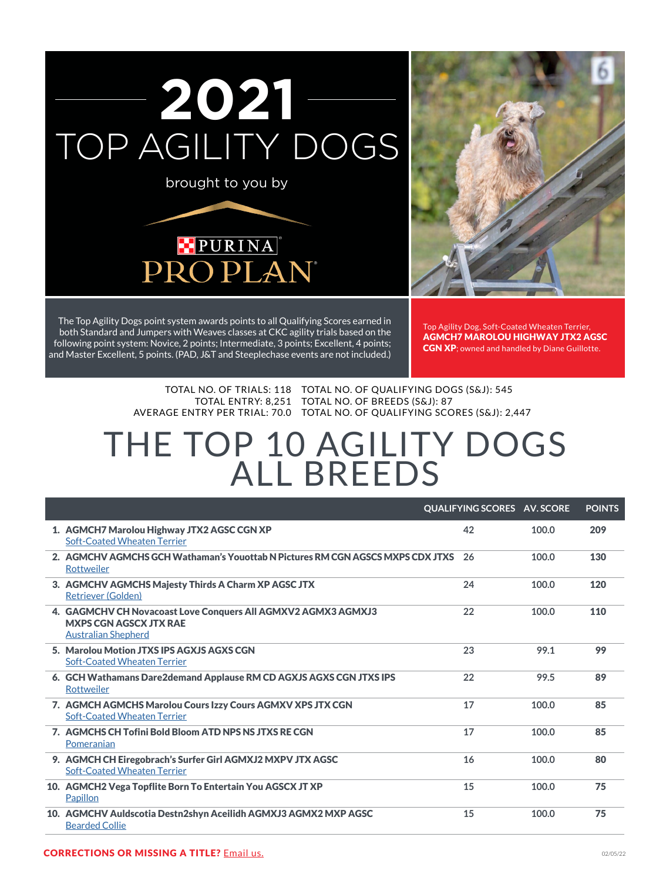





The Top Agility Dogs point system awards points to all Qualifying Scores earned in both Standard and Jumpers with Weaves classes at CKC agility trials based on the following point system: Novice, 2 points; Intermediate, 3 points; Excellent, 4 points; and Master Excellent, 5 points. (PAD, J&T and Steeplechase events are not included.)

Top Agility Dog, Soft-Coated Wheaten Terrier, AGMCH7 Marolou Highway JTX2 AGSC **CGN XP**; owned and handled by Diane Guillotte.

Total No. of Trials: 118 Total No. of Qualifying Dogs (S&J): 545 TOTAL ENTRY: 8,251 TOTAL NO. OF BREEDS (S&J): 87 Average Entry per Trial: 70.0 Total No. of Qualifying Scores (S&J): 2,447

# THE TOP 10 AGILITY DOGS ALL BREEDS

|                                                                                                                              | <b>QUALIFYING SCORES AV. SCORE</b> |       | <b>POINTS</b> |
|------------------------------------------------------------------------------------------------------------------------------|------------------------------------|-------|---------------|
| 1. AGMCH7 Marolou Highway JTX2 AGSC CGN XP<br><b>Soft-Coated Wheaten Terrier</b>                                             | 42                                 | 100.0 | 209           |
| 2. AGMCHV AGMCHS GCH Wathaman's Youottab N Pictures RM CGN AGSCS MXPS CDX JTXS<br>Rottweiler                                 | -26                                | 100.0 | 130           |
| 3. AGMCHV AGMCHS Majesty Thirds A Charm XP AGSC JTX<br><b>Retriever (Golden)</b>                                             | 24                                 | 100.0 | 120           |
| 4. GAGMCHV CH Novacoast Love Conquers All AGMXV2 AGMX3 AGMXJ3<br><b>MXPS CGN AGSCX JTX RAE</b><br><b>Australian Shepherd</b> | 22                                 | 100.0 | 110           |
| 5. Marolou Motion JTXS IPS AGXJS AGXS CGN<br><b>Soft-Coated Wheaten Terrier</b>                                              | 23                                 | 99.1  | 99            |
| 6. GCH Wathamans Dare2demand Applause RM CD AGXJS AGXS CGN JTXS IPS<br><b>Rottweiler</b>                                     | 22                                 | 99.5  | 89            |
| 7. AGMCH AGMCHS Marolou Cours Izzy Cours AGMXV XPS JTX CGN<br><b>Soft-Coated Wheaten Terrier</b>                             | 17                                 | 100.0 | 85            |
| 7. AGMCHS CH Tofini Bold Bloom ATD NPS NS JTXS RECGN<br>Pomeranian                                                           | 17                                 | 100.0 | 85            |
| 9. AGMCH CH Eiregobrach's Surfer Girl AGMXJ2 MXPV JTX AGSC<br><b>Soft-Coated Wheaten Terrier</b>                             | 16                                 | 100.0 | 80            |
| 10. AGMCH2 Vega Topflite Born To Entertain You AGSCX JT XP<br>Papillon                                                       | 15                                 | 100.0 | 75            |
| 10. AGMCHV Auldscotia Destn2shyn Aceilidh AGMXJ3 AGMX2 MXP AGSC<br><b>Bearded Collie</b>                                     | 15                                 | 100.0 | 75            |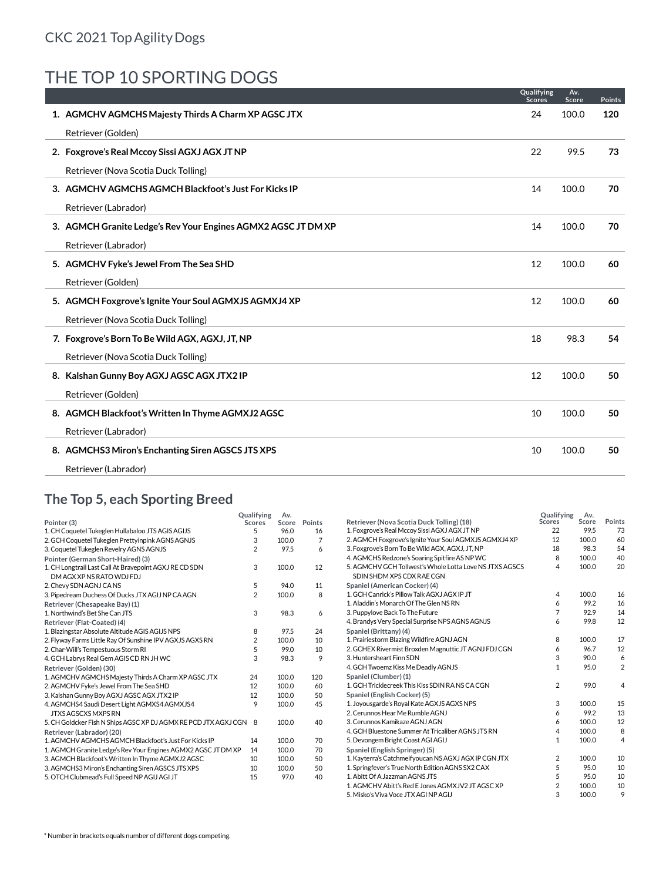# THE TOP 10 SPORTING DOGS

|                                                               | Qualifying<br><b>Scores</b> | Av.<br>Score | <b>Points</b> |
|---------------------------------------------------------------|-----------------------------|--------------|---------------|
| 1. AGMCHV AGMCHS Majesty Thirds A Charm XP AGSC JTX           | 24                          | 100.0        | 120           |
| Retriever (Golden)                                            |                             |              |               |
| 2. Foxgrove's Real Mccoy Sissi AGXJ AGX JT NP                 | 22                          | 99.5         | 73            |
| Retriever (Nova Scotia Duck Tolling)                          |                             |              |               |
| 3. AGMCHV AGMCHS AGMCH Blackfoot's Just For Kicks IP          | 14                          | 100.0        | 70            |
| Retriever (Labrador)                                          |                             |              |               |
| 3. AGMCH Granite Ledge's Rev Your Engines AGMX2 AGSC JT DM XP | 14                          | 100.0        | 70            |
| Retriever (Labrador)                                          |                             |              |               |
| 5. AGMCHV Fyke's Jewel From The Sea SHD                       | 12                          | 100.0        | 60            |
| Retriever (Golden)                                            |                             |              |               |
| 5. AGMCH Foxgrove's Ignite Your Soul AGMXJS AGMXJ4 XP         | 12                          | 100.0        | 60            |
| Retriever (Nova Scotia Duck Tolling)                          |                             |              |               |
| 7. Foxgrove's Born To Be Wild AGX, AGXJ, JT, NP               | 18                          | 98.3         | 54            |
| Retriever (Nova Scotia Duck Tolling)                          |                             |              |               |
| 8. Kalshan Gunny Boy AGXJ AGSC AGX JTX2 IP                    | 12                          | 100.0        | 50            |
| Retriever (Golden)                                            |                             |              |               |
| 8. AGMCH Blackfoot's Written In Thyme AGMXJ2 AGSC             | 10                          | 100.0        | 50            |
| Retriever (Labrador)                                          |                             |              |               |
| 8. AGMCHS3 Miron's Enchanting Siren AGSCS JTS XPS             | 10                          | 100.0        | 50            |
| Retriever (Labrador)                                          |                             |              |               |
|                                                               |                             |              |               |

#### **The Top 5, each Sporting Breed**

| Pointer (3)                                                                         | Qualifying         | Av.           | Points         | Retriever (Nova Scotia Duck Tolling) (18)                                            | Qualifying<br><b>Scores</b> | Av.<br>Score | Points         |
|-------------------------------------------------------------------------------------|--------------------|---------------|----------------|--------------------------------------------------------------------------------------|-----------------------------|--------------|----------------|
| 1. CH Coquetel Tukeglen Hullabaloo JTS AGIS AGIJS                                   | <b>Scores</b><br>5 | Score<br>96.0 | 16             | 1. Foxgrove's Real Mccoy Sissi AGXJ AGX JT NP                                        | 22                          | 99.5         | 73             |
|                                                                                     | 3                  | 100.0         | $\overline{7}$ | 2. AGMCH Foxgrove's Ignite Your Soul AGMXJS AGMXJ4 XP                                | 12                          | 100.0        | 60             |
| 2. GCH Coquetel Tukeglen Prettyinpink AGNS AGNJS                                    |                    |               |                | 3. Foxgrove's Born To Be Wild AGX, AGXJ, JT, NP                                      | 18                          | 98.3         | 54             |
| 3. Coquetel Tukeglen Revelry AGNS AGNJS                                             | $\overline{2}$     | 97.5          | 6              |                                                                                      | 8                           | 100.0        | 40             |
| Pointer (German Short-Haired) (3)                                                   |                    |               |                | 4. AGMCHS Redzone's Soaring Spitfire AS NP WC                                        |                             |              |                |
| 1. CH Longtrail Last Call At Bravepoint AGXJ RE CD SDN<br>DM AGX XP NS RATO WDJ FDJ | 3                  | 100.0         | 12             | 5. AGMCHV GCH Tollwest's Whole Lotta Love NS JTXS AGSCS<br>SDIN SHDM XPS CDX RAE CGN | 4                           | 100.0        | 20             |
| 2. Chevy SDN AGNJ CANS                                                              | 5                  | 94.0          | 11             | Spaniel (American Cocker) (4)                                                        |                             |              |                |
| 3. Pipedream Duchess Of Ducks JTX AGIJ NP CA AGN                                    | 2                  | 100.0         | 8              | 1. GCH Canrick's Pillow Talk AGXJ AGX IP JT                                          |                             | 100.0        | 16             |
| Retriever (Chesapeake Bay) (1)                                                      |                    |               |                | 1. Aladdin's Monarch Of The Glen NS RN                                               |                             | 99.2         | 16             |
| 1. Northwind's Bet She Can JTS                                                      | 3                  | 98.3          | 6              | 3. Puppylove Back To The Future                                                      |                             | 92.9         | 14             |
| Retriever (Flat-Coated) (4)                                                         |                    |               |                | 4. Brandys Very Special Surprise NPS AGNS AGNJS                                      | 6                           | 99.8         | 12             |
| 1. Blazingstar Absolute Altitude AGIS AGIJS NPS                                     | 8                  | 97.5          | 24             | Spaniel (Brittany) (4)                                                               |                             |              |                |
| 2. Flyway Farms Little Ray Of Sunshine IPV AGXJS AGXS RN                            | $\overline{2}$     | 100.0         | 10             | 1. Prairiestorm Blazing Wildfire AGNJ AGN                                            | 8                           | 100.0        | 17             |
| 2. Char-Will's Tempestuous Storm RI                                                 | 5                  | 99.0          | 10             | 2. GCHEX Rivermist Broxden Magnuttic JT AGNJ FDJ CGN                                 | 6                           | 96.7         | 12             |
| 4. GCH Labrys Real Gem AGIS CD RN JH WC                                             | 3                  | 98.3          | 9              | 3. Huntersheart Finn SDN                                                             | 3                           | 90.0         | 6              |
| Retriever (Golden) (30)                                                             |                    |               |                | 4. GCH Twoemz Kiss Me Deadly AGNJS                                                   | 1                           | 95.0         | $\overline{2}$ |
| 1. AGMCHV AGMCHS Majesty Thirds A Charm XP AGSC JTX                                 | 24                 | 100.0         | 120            | Spaniel (Clumber) (1)                                                                |                             |              |                |
| 2. AGMCHV Fyke's Jewel From The Sea SHD                                             | 12                 | 100.0         | 60             | 1. GCH Tricklecreek This Kiss SDIN RANS CA CGN                                       | $\overline{2}$              | 99.0         | 4              |
| 3. Kalshan Gunny Boy AGXJ AGSC AGX JTX2 IP                                          | 12                 | 100.0         | 50             | Spaniel (English Cocker) (5)                                                         |                             |              |                |
| 4. AGMCHS4 Saudi Desert Light AGMXS4 AGMXJS4                                        | 9                  | 100.0         | 45             | 1. Joyousgarde's Royal Kate AGXJS AGXS NPS                                           | 3                           | 100.0        | 15             |
| JTXS AGSCXS MXPS RN                                                                 |                    |               |                | 2. Cerunnos Hear Me Rumble AGNJ                                                      | 6                           | 99.2         | 13             |
| 5. CH Goldcker Fish N Ships AGSC XP DJ AGMX RE PCD JTX AGXJ CGN 8                   |                    | 100.0         | 40             | 3. Cerunnos Kamikaze AGNJ AGN                                                        |                             | 100.0        | 12             |
| Retriever (Labrador) (20)                                                           |                    |               |                | 4. GCH Bluestone Summer At Tricaliber AGNS JTS RN                                    |                             | 100.0        | 8              |
| 1. AGMCHV AGMCHS AGMCH Blackfoot's Just For Kicks IP                                | 14                 | 100.0         | 70             | 5. Devongem Bright Coast AGI AGIJ                                                    |                             | 100.0        | $\overline{4}$ |
| 1. AGMCH Granite Ledge's Rev Your Engines AGMX2 AGSC JT DM XP                       | 14                 | 100.0         | 70             | Spaniel (English Springer) (5)                                                       |                             |              |                |
| 3. AGMCH Blackfoot's Written In Thyme AGMXJ2 AGSC                                   | 10                 | 100.0         | 50             | 1. Kayterra's Catchmeifyoucan NS AGXJ AGX IP CGN JTX                                 | $\overline{2}$              | 100.0        | 10             |
| 3. AGMCHS3 Miron's Enchanting Siren AGSCS JTS XPS                                   | 10                 | 100.0         | 50             | 1. Springfever's True North Edition AGNS SX2 CAX                                     |                             | 95.0         | 10             |
| 5. OTCH Clubmead's Full Speed NP AGIJ AGI JT                                        | 15                 | 97.0          | 40             | 1. Abitt Of A Jazzman AGNS JTS                                                       |                             | 95.0         | 10             |
|                                                                                     |                    |               |                | 1. AGMCHV Abitt's Red E Jones AGMXJV2 JT AGSC XP                                     |                             | 100.0        | 10             |
|                                                                                     |                    |               |                | 5. Misko's Viva Voce JTX AGI NP AGIJ                                                 | 3                           | 100.0        | 9              |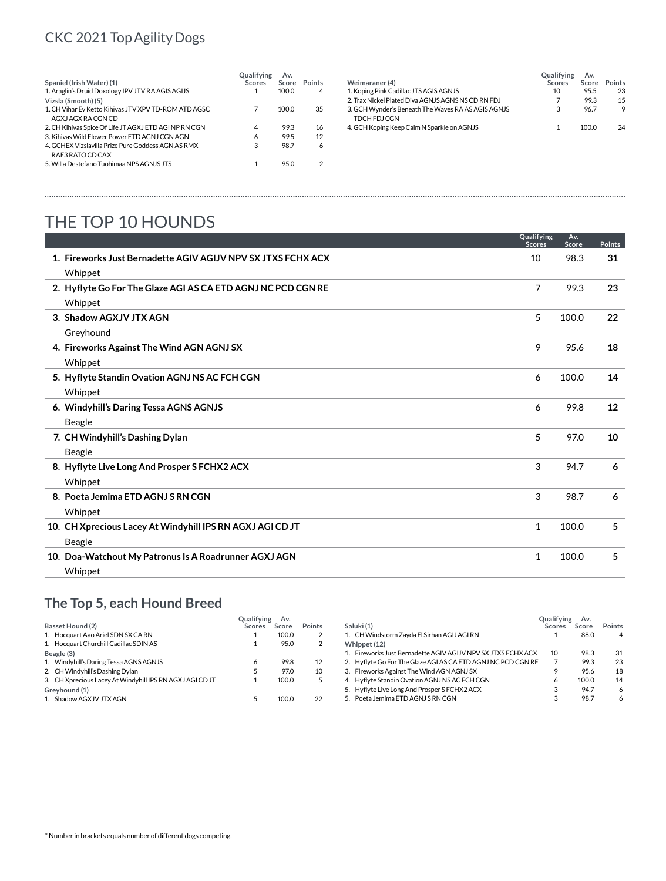|                                                       | Qualifying    | Av.   |                         |
|-------------------------------------------------------|---------------|-------|-------------------------|
| Spaniel (Irish Water) (1)                             | <b>Scores</b> | Score | Points                  |
| 1. Araglin's Druid Doxology IPV JTV RA AGIS AGIJS     |               | 100.0 | $\overline{4}$          |
| Vizsla (Smooth) (5)                                   |               |       |                         |
| 1. CH Vihar Ev Ketto Kihivas JTV XPV TD-ROM ATD AGSC  |               | 100.0 | 35                      |
| AGX JAGX RACGN CD                                     |               |       |                         |
| 2. CH Kihivas Spice Of Life JT AGXJ ETD AGI NP RN CGN | 4             | 99.3  | 16                      |
| 3. Kihiyas Wild Flower Power ETD AGNJ CGN AGN         | 6             | 99.5  | 12                      |
| 4. GCHEX Vizslavilla Prize Pure Goddess AGN AS RMX    | 3             | 98.7  | 6                       |
| RAE3 RATO CD CAX                                      |               |       |                         |
| 5. Willa Destefano Tuohimaa NPS AGNJS JTS             |               | 95.0  | $\overline{\mathbf{c}}$ |
|                                                       |               |       |                         |

|                                                    | Qualifying | Av.   |        |
|----------------------------------------------------|------------|-------|--------|
| Weimaraner (4)                                     | Scores     | Score | Points |
| 1. Koping Pink Cadillac JTS AGIS AGNJS             | 10         | 955   | 23     |
| 2. Trax Nickel Plated Diva AGNJS AGNS NS CD RN FDJ |            | 993   | 15     |
| 3. GCH Wynder's Beneath The Wayes RA AS AGIS AGNJS | 3          | 967   | ۰      |
| <b>TDCH FDJ CGN</b>                                |            |       |        |
| 4. GCH Koping Keep Calm N Sparkle on AGNJS         |            | 100 O | 24     |

## THE TOP 10 HOUNDS

|                                                              | Qualifying<br><b>Scores</b> | Av.<br>Score | <b>Points</b> |
|--------------------------------------------------------------|-----------------------------|--------------|---------------|
| 1. Fireworks Just Bernadette AGIV AGIJV NPV SX JTXS FCHX ACX | 10                          | 98.3         | 31            |
| Whippet                                                      |                             |              |               |
| 2. Hyflyte Go For The Glaze AGI AS CA ETD AGNJ NC PCD CGN RE | 7                           | 99.3         | 23            |
| Whippet                                                      |                             |              |               |
| 3. Shadow AGXJV JTX AGN                                      | 5                           | 100.0        | 22            |
| Greyhound                                                    |                             |              |               |
| 4. Fireworks Against The Wind AGN AGNJ SX                    | 9                           | 95.6         | 18            |
| Whippet                                                      |                             |              |               |
| 5. Hyflyte Standin Ovation AGNJ NS AC FCH CGN                | 6                           | 100.0        | 14            |
| Whippet                                                      |                             |              |               |
| 6. Windyhill's Daring Tessa AGNS AGNJS                       | 6                           | 99.8         | 12            |
| Beagle                                                       |                             |              |               |
| 7. CH Windyhill's Dashing Dylan                              | 5                           | 97.0         | 10            |
| Beagle                                                       |                             |              |               |
| 8. Hyflyte Live Long And Prosper S FCHX2 ACX                 | 3                           | 94.7         | 6             |
| Whippet                                                      |                             |              |               |
| 8. Poeta Jemima ETD AGNJ S RN CGN                            | 3                           | 98.7         | 6             |
| Whippet                                                      |                             |              |               |
| 10. CH Xprecious Lacey At Windyhill IPS RN AGXJ AGI CD JT    | $\mathbf{1}$                | 100.0        | 5             |
| Beagle                                                       |                             |              |               |
| 10. Doa-Watchout My Patronus Is A Roadrunner AGXJ AGN        | $\mathbf{1}$                | 100.0        | 5             |
| Whippet                                                      |                             |              |               |

## **The Top 5, each Hound Breed**

|                                                          | Qualifying | Av.   |        |                                                              | Qualifying | Av.   |        |
|----------------------------------------------------------|------------|-------|--------|--------------------------------------------------------------|------------|-------|--------|
| Basset Hound (2)                                         | Scores     | Score | Points | Saluki (1)                                                   | Scores     | Score | Points |
| 1. Hocquart Aao Ariel SDN SX CA RN                       |            | 100.0 |        | 1. CH Windstorm Zayda El Sirhan AGIJ AGI RN                  |            | 88.0  | 4      |
| 1. Hocquart Churchill Cadillac SDIN AS                   |            | 95.0  |        | Whippet (12)                                                 |            |       |        |
| Beagle (3)                                               |            |       |        | 1. Fireworks Just Bernadette AGIV AGIJV NPV SX JTXS FCHX ACX | 10         | 98.3  | 31     |
| 1. Windyhill's Daring Tessa AGNS AGNJS                   |            | 99.8  | 12     | 2. Hyflyte Go For The Glaze AGI AS CA ETD AGNJ NC PCD CGN RE |            | 99.3  | 23     |
| 2. CH Windyhill's Dashing Dylan                          |            | 97.0  | 10     | 3. Fireworks Against The Wind AGN AGNJ SX                    |            | 95.6  | 18     |
| 3. CH Xprecious Lacey At Windyhill IPS RN AGXJ AGI CD JT |            | 100.0 |        | 4. Hyflyte Standin Ovation AGNJ NS AC FCH CGN                |            | 100.0 | 14     |
| Greyhound (1)                                            |            |       |        | 5. Hyflyte Live Long And Prosper SFCHX2 ACX                  |            | 94.7  | 6      |
| 1. Shadow AGXJV JTX AGN                                  |            | 100.0 | 22     | 5. Poeta Jemima ETD AGNJ S RN CGN                            |            | 98.7  | 6      |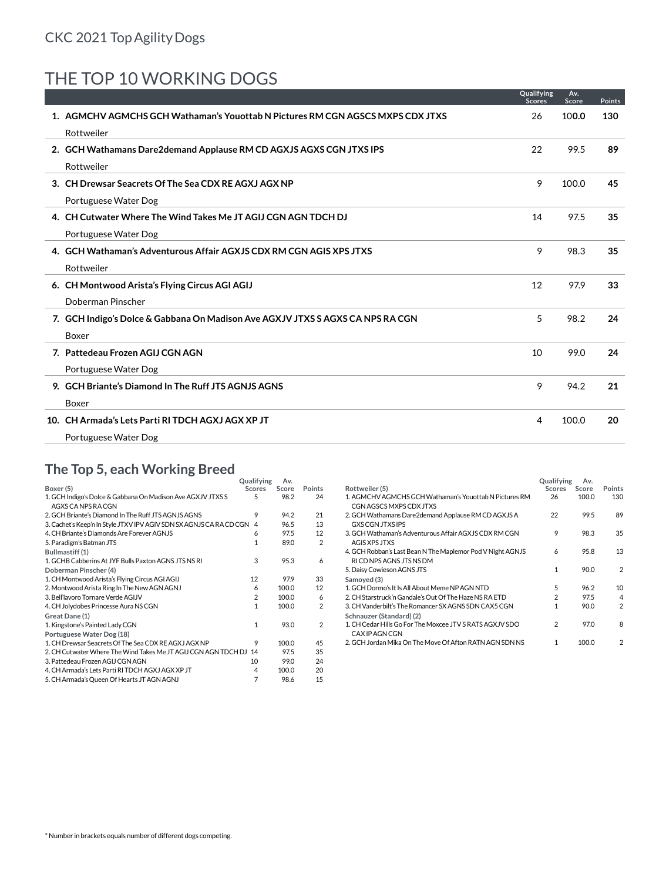# THE TOP 10 WORKing DOGS

|                                                                                | Qualifying<br><b>Scores</b> | Av.<br>Score | <b>Points</b> |
|--------------------------------------------------------------------------------|-----------------------------|--------------|---------------|
| 1. AGMCHV AGMCHS GCH Wathaman's Youottab N Pictures RM CGN AGSCS MXPS CDX JTXS | 26                          | 100.0        | 130           |
| Rottweiler                                                                     |                             |              |               |
| 2. GCH Wathamans Dare2demand Applause RM CD AGXJS AGXS CGN JTXS IPS            | 22                          | 99.5         | 89            |
| Rottweiler                                                                     |                             |              |               |
| 3. CH Drewsar Seacrets Of The Sea CDX RE AGXJ AGX NP                           | 9                           | 100.0        | 45            |
| Portuguese Water Dog                                                           |                             |              |               |
| 4. CH Cutwater Where The Wind Takes Me JT AGU CGN AGN TDCH DJ                  | 14                          | 97.5         | 35            |
| Portuguese Water Dog                                                           |                             |              |               |
| 4. GCH Wathaman's Adventurous Affair AGXJS CDX RM CGN AGIS XPS JTXS            | 9                           | 98.3         | 35            |
| Rottweiler                                                                     |                             |              |               |
| 6. CH Montwood Arista's Flying Circus AGI AGIJ                                 | 12                          | 97.9         | 33            |
| Doberman Pinscher                                                              |                             |              |               |
| 7. GCH Indigo's Dolce & Gabbana On Madison Ave AGXJV JTXS S AGXS CA NPS RA CGN | 5                           | 98.2         | 24            |
| Boxer                                                                          |                             |              |               |
| 7. Pattedeau Frozen AGIJ CGN AGN                                               | 10                          | 99.0         | 24            |
| Portuguese Water Dog                                                           |                             |              |               |
| 9. GCH Briante's Diamond In The Ruff JTS AGNJS AGNS                            | 9                           | 94.2         | 21            |
| Boxer                                                                          |                             |              |               |
| 10. CH Armada's Lets Parti RI TDCH AGXJ AGX XP JT                              | 4                           | 100.0        | 20            |
| Portuguese Water Dog                                                           |                             |              |               |

#### **The Top 5, each Working Breed**

|                                                                     | Qualifying     | Av.   |                |
|---------------------------------------------------------------------|----------------|-------|----------------|
| Boxer (5)                                                           | Scores         | Score | Points         |
| 1. GCH Indigo's Dolce & Gabbana On Madison Ave AGXJV JTXS S         | 5              | 98.2  | 24             |
| AGXS CANPS RACGN                                                    |                |       |                |
| 2. GCH Briante's Diamond In The Ruff JTS AGNJS AGNS                 | 9              | 94.2  | 21             |
| 3. Cachet's Keep'n In Style JTXV IPV AGIV SDN SX AGNJS CA RA CD CGN | 4              | 96.5  | 13             |
| 4 CH Briante's Diamonds Are Forever AGN IS                          | 6              | 97.5  | 12             |
| 5. Paradigm's Batman JTS                                            | 1              | 89.0  | $\overline{2}$ |
| Bullmastiff (1)                                                     |                |       |                |
| 1. GCHB Cabberins At JYF Bulls Paxton AGNS JTS NS RL                | 3              | 95.3  | 6              |
| Doberman Pinscher (4)                                               |                |       |                |
| 1. CH Montwood Arista's Flying Circus AGI AGIJ                      | 12             | 97.9  | 33             |
| 2. Montwood Arista Ring In The New AGN AGNJ                         | 6              | 100.0 | 12             |
| 3. Bell'Iavoro Tornare Verde AGIJV                                  | $\overline{2}$ | 100.0 | 6              |
| 4. CH Jolydobes Princesse Aura NS CGN                               | $\mathbf{1}$   | 100.0 | $\overline{2}$ |
| Great Dane (1)                                                      |                |       |                |
| 1. Kingstone's Painted Lady CGN                                     | 1              | 93.0  | $\mathcal{P}$  |
| Portuguese Water Dog (18)                                           |                |       |                |
| 1. CH Drewsar Seacrets Of The Sea CDX RE AGX J AGX NP               | 9              | 100.0 | 45             |
| 2. CH Cutwater Where The Wind Takes Me JT AGU CGN AGN TDCH DJ       | 14             | 97.5  | 35             |
| 3. Pattedeau Frozen AGIJ CGN AGN                                    | 10             | 99.0  | 24             |
| 4. CH Armada's Lets Parti RI TDCH AGX J AGX XP JT                   | 4              | 100.0 | 20             |
| 5. CH Armada's Queen Of Hearts JT AGN AGNJ                          | 7              | 98.6  | 15             |

|                                                                                       | Qualifying     | Av.   |                |
|---------------------------------------------------------------------------------------|----------------|-------|----------------|
| Rottweiler (5)                                                                        | Scores         | Score | Points         |
| 1. AGMCHV AGMCHS GCH Wathaman's Youottab N Pictures RM<br>CGN AGSCS MXPS CDX JTXS     | 26             | 100.0 | 130            |
| 2. GCH Wathamans Dare2demand Applause RM CD AGXJS A<br><b>GXS CGN JTXS IPS</b>        | 22             | 99.5  | 89             |
| 3. GCH Wathaman's Adventurous Affair AGX JS CDX RM CGN<br><b>AGIS XPS JTXS</b>        | 9              | 98.3  | 35             |
| 4. GCH Robban's Last Bean N The Maplemor Pod V Night AGNJS<br>RICD NPS AGNS JTS NS DM | 6              | 95.8  | 13             |
| 5. Daisy Cowieson AGNS JTS                                                            | $\mathbf{1}$   | 90.0  | $\mathfrak{D}$ |
| Samoyed (3)                                                                           |                |       |                |
| 1. GCH Dormo's It Is All About Meme NP AGN NTD                                        | 5              | 96.2  | 10             |
| 2. CH Starstruck'n Gandale's Out Of The Haze NS RA ETD                                | $\mathfrak{p}$ | 97.5  | 4              |
| 3. CH Vanderbilt's The Romancer SX AGNS SDN CAX5 CGN                                  | 1              | 90.0  | $\overline{2}$ |
| Schnauzer (Standard) (2)                                                              |                |       |                |
| 1. CH Cedar Hills Go For The Moxcee JTV S RATS AGX JV SDO<br>CAX IP AGN CGN           | $\mathfrak{p}$ | 97.0  | R              |
| 2. GCH Jordan Mika On The Move Of Afton RATN AGN SDN NS                               | 1              | 100.0 | $\overline{2}$ |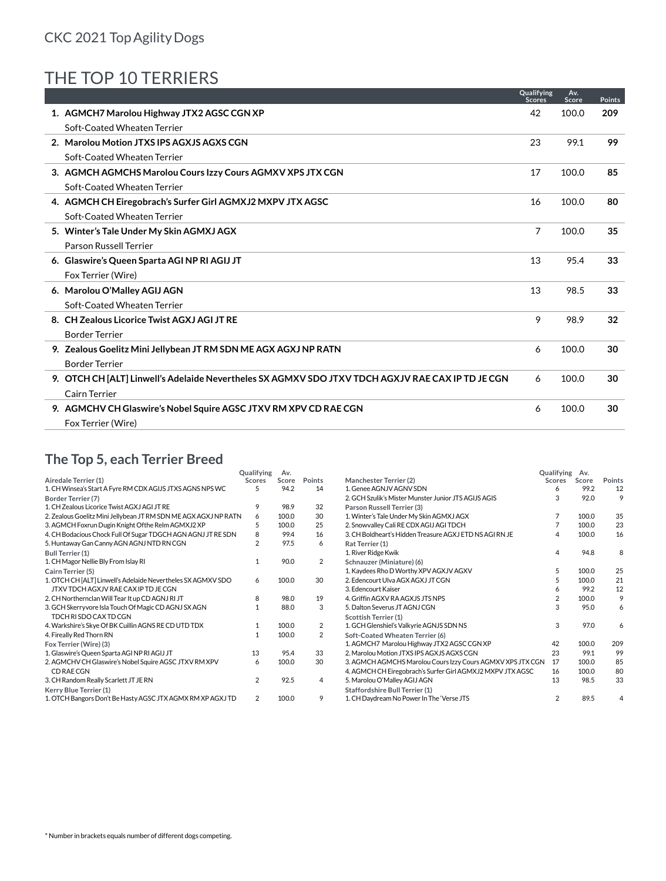# THE TOP 10 TERRIERS

|                                                                                                   | Qualifying<br><b>Scores</b> | Av.<br>Score | <b>Points</b> |
|---------------------------------------------------------------------------------------------------|-----------------------------|--------------|---------------|
| 1. AGMCH7 Marolou Highway JTX2 AGSC CGN XP                                                        | 42                          | 100.0        | 209           |
| Soft-Coated Wheaten Terrier                                                                       |                             |              |               |
| 2. Marolou Motion JTXS IPS AGXJS AGXS CGN                                                         | 23                          | 99.1         | 99            |
| Soft-Coated Wheaten Terrier                                                                       |                             |              |               |
| 3. AGMCH AGMCHS Marolou Cours Izzy Cours AGMXV XPS JTX CGN                                        | 17                          | 100.0        | 85            |
| Soft-Coated Wheaten Terrier                                                                       |                             |              |               |
| 4. AGMCH CH Eiregobrach's Surfer Girl AGMXJ2 MXPV JTX AGSC                                        | 16                          | 100.0        | 80            |
| Soft-Coated Wheaten Terrier                                                                       |                             |              |               |
| 5. Winter's Tale Under My Skin AGMXJ AGX                                                          | 7                           | 100.0        | 35            |
| <b>Parson Russell Terrier</b>                                                                     |                             |              |               |
| 6. Glaswire's Queen Sparta AGI NP RI AGIJ JT                                                      | 13                          | 95.4         | 33            |
| Fox Terrier (Wire)                                                                                |                             |              |               |
| 6. Marolou O'Malley AGIJ AGN                                                                      | 13                          | 98.5         | 33            |
| Soft-Coated Wheaten Terrier                                                                       |                             |              |               |
| 8. CH Zealous Licorice Twist AGXJ AGI JT RE                                                       | 9                           | 98.9         | 32            |
| <b>Border Terrier</b>                                                                             |                             |              |               |
| 9. Zealous Goelitz Mini Jellybean JT RM SDN ME AGX AGXJ NP RATN                                   | 6                           | 100.0        | 30            |
| <b>Border Terrier</b>                                                                             |                             |              |               |
| 9. OTCH CH [ALT] Linwell's Adelaide Nevertheles SX AGMXV SDO JTXV TDCH AGXJV RAE CAX IP TD JE CGN | 6                           | 100.0        | 30            |
| Cairn Terrier                                                                                     |                             |              |               |
| 9. AGMCHV CH Glaswire's Nobel Squire AGSC JTXV RM XPV CD RAE CGN                                  | 6                           | 100.0        | 30            |
| Fox Terrier (Wire)                                                                                |                             |              |               |
|                                                                                                   |                             |              |               |

## **The Top 5, each Terrier Breed**

|                                                                 | Qualifying    | Av.   |                |                                                            | Qualifying    | Av.   |        |
|-----------------------------------------------------------------|---------------|-------|----------------|------------------------------------------------------------|---------------|-------|--------|
| Airedale Terrier (1)                                            | <b>Scores</b> | Score | Points         | Manchester Terrier (2)                                     | <b>Scores</b> | Score | Points |
| 1. CH Winsea's Start A Fyre RM CDX AGIJS JTXS AGNS NPS WC       | 5             | 94.2  | 14             | 1. Genee AGNJV AGNV SDN                                    |               | 99.2  | 12     |
| Border Terrier (7)                                              |               |       |                | 2. GCH Szulik's Mister Munster Junior JTS AGUS AGIS        | 3             | 92.0  | 9      |
| 1. CH Zealous Licorice Twist AGXJ AGI JT RE                     | 9             | 98.9  | 32             | Parson Russell Terrier (3)                                 |               |       |        |
| 2. Zealous Goelitz Mini Jellybean JT RM SDN ME AGX AGXJ NP RATN | 6             | 100.0 | 30             | 1. Winter's Tale Under My Skin AGMXJ AGX                   |               | 100.0 | 35     |
| 3. AGMCH Foxrun Dugin Knight Ofthe Relm AGMXJ2 XP               |               | 100.0 | 25             | 2. Snowvalley Cali RE CDX AGIJ AGI TDCH                    |               | 100.0 | 23     |
| 4. CH Bodacious Chock Full Of Sugar TDGCH AGN AGNJ JT RE SDN    |               | 99.4  | 16             | 3. CH Boldheart's Hidden Treasure AGXJ ETD NS AGIRN JE     |               | 100.0 | 16     |
| 5. Huntaway Gan Canny AGN AGNJ NTD RN CGN                       | 2             | 97.5  | 6              | Rat Terrier (1)                                            |               |       |        |
| <b>Bull Terrier (1)</b>                                         |               |       |                | 1. River Ridge Kwik                                        | 4             | 94.8  | 8      |
| 1. CH Magor Nellie Bly From Islay RI                            |               | 90.0  | $\overline{2}$ | Schnauzer (Miniature) (6)                                  |               |       |        |
| Cairn Terrier (5)                                               |               |       |                | 1. Kaydees Rho D Worthy XPV AGXJV AGXV                     |               | 100.0 | 25     |
| 1. OTCH CH [ALT] Linwell's Adelaide Nevertheles SX AGMXV SDO    | 6             | 100.0 | 30             | 2. Edencourt Ulva AGX AGXJ JT CGN                          |               | 100.0 | 21     |
| JTXV TDCH AGXJV RAE CAX IP TD JE CGN                            |               |       |                | 3. Edencourt Kaiser                                        |               | 99.2  | 12     |
| 2. CH Northernclan Will Tear It up CD AGNJ RIJT                 |               | 98.0  | 19             | 4. Griffin AGXV RA AGXJS JTS NPS                           | 2             | 100.0 | 9      |
| 3. GCH Skerryvore Isla Touch Of Magic CD AGNJ SX AGN            |               | 88.0  | 3              | 5. Dalton Severus JT AGNJ CGN                              | 3             | 95.0  | 6      |
| TDCH RISDO CAX TD CGN                                           |               |       |                | Scottish Terrier (1)                                       |               |       |        |
| 4. Warkshire's Skye Of BK Cuillin AGNS RE CD UTD TDX            |               | 100.0 | $\overline{2}$ | 1. GCH Glenshiel's Valkyrie AGNJS SDN NS                   | 3             | 97.0  | 6      |
| 4. Fireally Red Thorn RN                                        |               | 100.0 | $\overline{2}$ | Soft-Coated Wheaten Terrier (6)                            |               |       |        |
| Fox Terrier (Wire) (3)                                          |               |       |                | 1. AGMCH7 Marolou Highway JTX2 AGSC CGN XP                 | 42            | 100.0 | 209    |
| 1. Glaswire's Queen Sparta AGI NP RI AGIJ JT                    | 13            | 95.4  | 33             | 2. Marolou Motion JTXS IPS AGX JS AGXS CGN                 | 23            | 99.1  | 99     |
| 2. AGMCHV CH Glaswire's Nobel Squire AGSC JTXV RM XPV           | 6             | 100.0 | 30             | 3. AGMCH AGMCHS Marolou Cours Izzy Cours AGMXV XPS JTX CGN | 17            | 100.0 | 85     |
| CD RAE CGN                                                      |               |       |                | 4. AGMCH CH Eiregobrach's Surfer Girl AGMXJ2 MXPV JTX AGSC | 16            | 100.0 | 80     |
| 3. CH Random Really Scarlett JT JE RN                           | 2             | 92.5  | 4              | 5. Marolou O'Malley AGIJ AGN                               | 13            | 98.5  | 33     |
| Kerry Blue Terrier (1)                                          |               |       |                | Staffordshire Bull Terrier (1)                             |               |       |        |
| 1. OTCH Bangors Don't Be Hasty AGSC JTX AGMX RM XP AGXJ TD      | 2             | 100.0 | 9              | 1. CH Daydream No Power In The 'Verse JTS                  | 2             | 89.5  | 4      |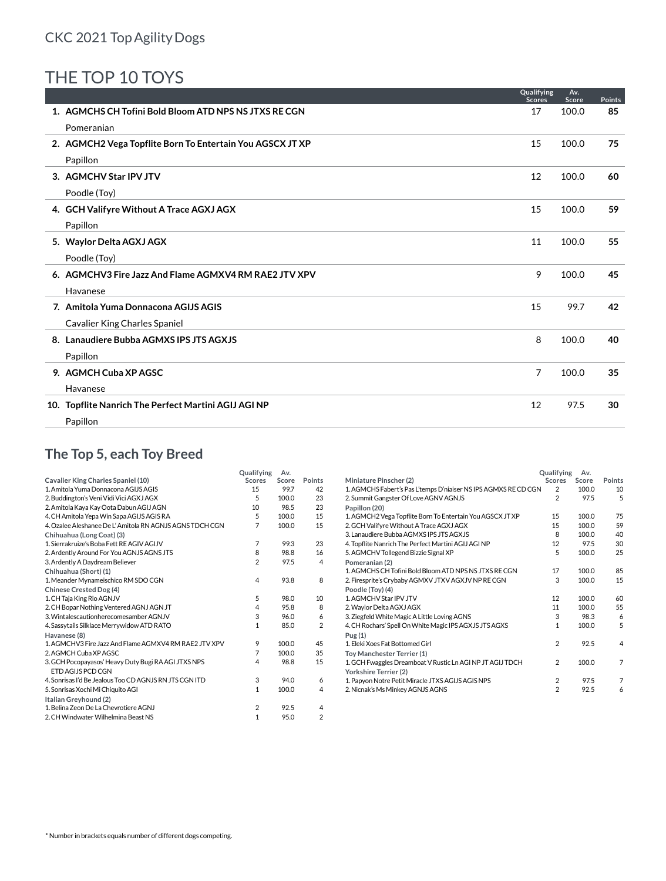# THE TOP 10 TOYS

|                                                           | Qualifying<br><b>Scores</b> | Av.<br>Score | <b>Points</b> |
|-----------------------------------------------------------|-----------------------------|--------------|---------------|
| 1. AGMCHS CH Tofini Bold Bloom ATD NPS NS JTXS RECGN      | 17                          | 100.0        | 85            |
| Pomeranian                                                |                             |              |               |
| 2. AGMCH2 Vega Topflite Born To Entertain You AGSCX JT XP | 15                          | 100.0        | 75            |
| Papillon                                                  |                             |              |               |
| 3. AGMCHV Star IPV JTV                                    | 12                          | 100.0        | 60            |
| Poodle (Toy)                                              |                             |              |               |
| 4. GCH Valifyre Without A Trace AGXJ AGX                  | 15                          | 100.0        | 59            |
| Papillon                                                  |                             |              |               |
| 5. Waylor Delta AGXJ AGX                                  | 11                          | 100.0        | 55            |
| Poodle (Toy)                                              |                             |              |               |
| 6. AGMCHV3 Fire Jazz And Flame AGMXV4 RM RAE2 JTV XPV     | 9                           | 100.0        | 45            |
| Havanese                                                  |                             |              |               |
| 7. Amitola Yuma Donnacona AGIJS AGIS                      | 15                          | 99.7         | 42            |
| <b>Cavalier King Charles Spaniel</b>                      |                             |              |               |
| 8. Lanaudiere Bubba AGMXS IPS JTS AGXJS                   | 8                           | 100.0        | 40            |
| Papillon                                                  |                             |              |               |
| 9. AGMCH Cuba XP AGSC                                     | $\overline{7}$              | 100.0        | 35            |
| Havanese                                                  |                             |              |               |
| 10. Topflite Nanrich The Perfect Martini AGIJ AGI NP      | 12                          | 97.5         | 30            |
| Papillon                                                  |                             |              |               |

## **The Top 5, each Toy Breed**

|                                                         | Qualifying     | Av.   |                |           |
|---------------------------------------------------------|----------------|-------|----------------|-----------|
| Cavalier King Charles Spaniel (10)                      | <b>Scores</b>  | Score | Points         | Miniat    |
| 1. Amitola Yuma Donnacona AGUS AGIS                     | 15             | 99.7  | 42             | 1.AGM     |
| 2. Buddington's Veni Vidi Vici AGXJ AGX                 | 5              | 100.0 | 23             | 2. Sumn   |
| 2. Amitola Kaya Kay Oota Dabun AGIJ AGN                 | 10             | 98.5  | 23             | Papillo   |
| 4. CH Amitola Yepa Win Sapa AGIJS AGIS RA               | 5              | 100.0 | 15             | 1.AGM     |
| 4. Ozalee Aleshanee De L'Amitola RN AGNJS AGNS TDCH CGN | $\overline{7}$ | 100.0 | 15             | 2.GCH     |
| Chihuahua (Long Coat) (3)                               |                |       |                | 3. Lana   |
| 1. Sierrakruize's Boba Fett RE AGIV AGIJV               | 7              | 99.3  | 23             | 4. Topfli |
| 2. Ardently Around For You AGNJS AGNS JTS               | 8              | 98.8  | 16             | 5.AGM     |
| 3. Ardently A Daydream Believer                         | $\overline{2}$ | 97.5  | 4              | Pomer     |
| Chihuahua (Short) (1)                                   |                |       |                | 1.AGM     |
| 1. Meander Mynameischico RM SDO CGN                     | 4              | 93.8  | 8              | 2. Firesp |
| <b>Chinese Crested Dog (4)</b>                          |                |       |                | Poodle    |
| 1. CH Taja King Rio AGNJV                               | 5              | 98.0  | 10             | 1.AGM     |
| 2. CH Bopar Nothing Ventered AGNJ AGN JT                | 4              | 95.8  | 8              | 2. Wayl   |
| 3. Wintalescautionherecomesamber AGNJV                  | 3              | 96.0  | 6              | 3. Ziegf  |
| 4. Sassytails Silklace Merrywidow ATD RATO              | 1              | 85.0  | $\overline{2}$ | 4.CHR     |
| Havanese (8)                                            |                |       |                | Pug (1)   |
| 1. AGMCHV3 Fire Jazz And Flame AGMXV4 RM RAE2 JTV XPV   | 9              | 100.0 | 45             | 1. Eleki  |
| 2. AGMCH Cuba XP AGSC                                   | 7              | 100.0 | 35             | Tov Ma    |
| 3. GCH Pocopayasos' Heavy Duty Bugi RA AGI JTXS NPS     | 4              | 98.8  | 15             | 1.GCH     |
| ETD AGUS PCD CGN                                        |                |       |                | Yorksh    |
| 4. Sonrisas I'd Be Jealous Too CD AGNJS RN JTS CGN ITD  | 3              | 94.0  | 6              | 1. Papy   |
| 5. Sonrisas Xochi Mi Chiquito AGI                       | $\mathbf{1}$   | 100.0 | 4              | 2. Nicna  |
| Italian Greyhound (2)                                   |                |       |                |           |
| 1. Belina Zeon De La Chevrotiere AGNJ                   | $\overline{2}$ | 92.5  | 4              |           |
| 2. CH Windwater Wilhelmina Beast NS                     | $\mathbf{1}$   | 95.0  | $\overline{2}$ |           |

|                                                                 | Qualifying     | Av.   |                |
|-----------------------------------------------------------------|----------------|-------|----------------|
| Miniature Pinscher (2)                                          | <b>Scores</b>  | Score | Points         |
| 1. AGMCHS Fabert's Pas L'temps D'niaiser NS IPS AGMXS RE CD CGN | $\overline{2}$ | 100.0 | 10             |
| 2. Summit Gangster Of Love AGNV AGNJS                           | $\overline{2}$ | 97.5  | 5              |
| Papillon (20)                                                   |                |       |                |
| 1. AGMCH2 Vega Topflite Born To Entertain You AGSCX JT XP       | 15             | 100.0 | 75             |
| 2. GCH Valifyre Without A Trace AGXJ AGX                        | 15             | 100.0 | 59             |
| 3. Lanaudiere Bubba AGMXS IPS JTS AGX JS                        | 8              | 100.0 | 40             |
| 4. Topflite Nanrich The Perfect Martini AGIJ AGI NP             | 12             | 97.5  | 30             |
| 5. AGMCHV Tollegend Bizzie Signal XP                            | 5              | 100.0 | 25             |
| Pomeranian (2)                                                  |                |       |                |
| 1. AGMCHS CH Tofini Bold Bloom ATD NPS NS JTXS RECGN            | 17             | 100.0 | 85             |
| 2. Firesprite's Crybaby AGMXV JTXV AGXJV NP RECGN               | 3              | 100.0 | 15             |
| Poodle (Toy) (4)                                                |                |       |                |
| 1. AGMCHV Star IPV JTV                                          | 12             | 100.0 | 60             |
| 2. Waylor Delta AGXJ AGX                                        | 11             | 100.0 | 55             |
| 3. Ziegfeld White Magic A Little Loving AGNS                    | 3              | 98.3  | 6              |
| 4. CH Rochars' Spell On White Magic IPS AGXJS JTS AGXS          | $\mathbf{1}$   | 100.0 | 5              |
| Pug(1)                                                          |                |       |                |
| 1. Eleki Xoes Fat Bottomed Girl                                 | $\overline{2}$ | 92.5  | 4              |
| Toy Manchester Terrier (1)                                      |                |       |                |
| 1. GCH Fwaggles Dreamboat V Rustic Ln AGI NP JT AGIJ TDCH       | $\overline{2}$ | 100.0 | $\overline{7}$ |
| Yorkshire Terrier (2)                                           |                |       |                |
| 1. Papyon Notre Petit Miracle JTXS AGIJS AGIS NPS               | $\overline{2}$ | 97.5  | $\overline{7}$ |
| 2. Nicnak's Ms Minkey AGNJS AGNS                                | $\overline{2}$ | 92.5  | 6              |
|                                                                 |                |       |                |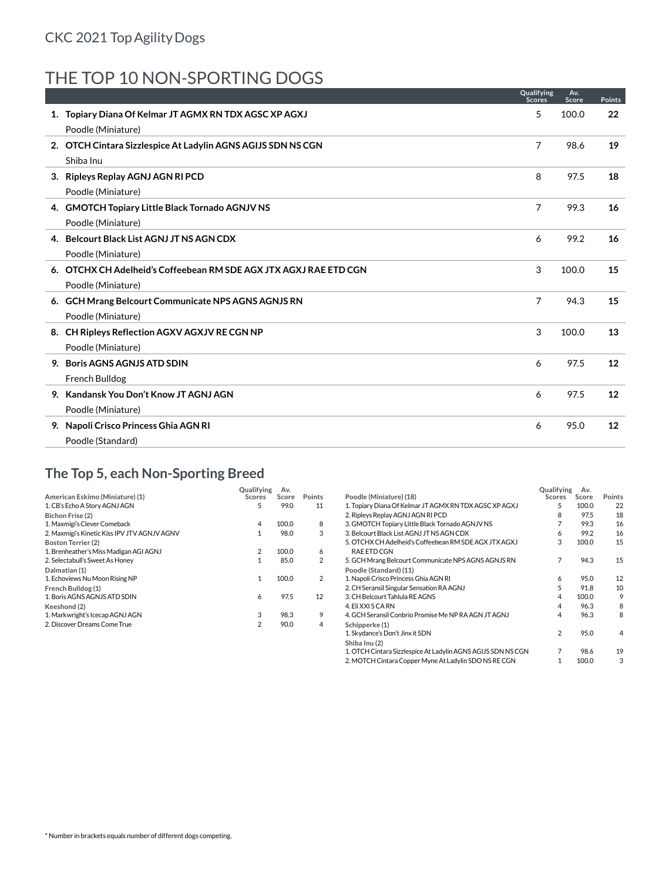# THE TOP 10 NON-SPORTING DOGS

|    |                                                                    | Qualifying<br><b>Scores</b> | Av.<br>Score | <b>Points</b> |
|----|--------------------------------------------------------------------|-----------------------------|--------------|---------------|
|    | 1. Topiary Diana Of Kelmar JT AGMX RN TDX AGSC XP AGXJ             | 5                           | 100.0        | 22            |
|    | Poodle (Miniature)                                                 |                             |              |               |
|    | 2. OTCH Cintara Sizzlespice At Ladylin AGNS AGIJS SDN NS CGN       | 7                           | 98.6         | 19            |
|    | Shiba Inu                                                          |                             |              |               |
|    | 3. Ripleys Replay AGNJ AGN RI PCD                                  | 8                           | 97.5         | 18            |
|    | Poodle (Miniature)                                                 |                             |              |               |
|    | 4. GMOTCH Topiary Little Black Tornado AGNJV NS                    | 7                           | 99.3         | 16            |
|    | Poodle (Miniature)                                                 |                             |              |               |
|    | 4. Belcourt Black List AGNJ JT NS AGN CDX                          | 6                           | 99.2         | 16            |
|    | Poodle (Miniature)                                                 |                             |              |               |
|    | 6. OTCHX CH Adelheid's Coffeebean RM SDE AGX JTX AGX J RAE ETD CGN | 3                           | 100.0        | 15            |
|    | Poodle (Miniature)                                                 |                             |              |               |
|    | 6. GCH Mrang Belcourt Communicate NPS AGNS AGNJS RN                | 7                           | 94.3         | 15            |
|    | Poodle (Miniature)                                                 |                             |              |               |
|    | 8. CH Ripleys Reflection AGXV AGXJV RECGN NP                       | 3                           | 100.0        | 13            |
|    | Poodle (Miniature)                                                 |                             |              |               |
|    | 9. Boris AGNS AGNJS ATD SDIN                                       | 6                           | 97.5         | 12            |
|    | French Bulldog                                                     |                             |              |               |
|    | 9. Kandansk You Don't Know JT AGNJ AGN                             | 6                           | 97.5         | 12            |
|    | Poodle (Miniature)                                                 |                             |              |               |
| 9. | Napoli Crisco Princess Ghia AGN RI                                 | 6                           | 95.0         | 12            |
|    | Poodle (Standard)                                                  |                             |              |               |

#### **The Top 5, each Non-Sporting Breed**

|                                              | Qualifying     | Av.   |                |
|----------------------------------------------|----------------|-------|----------------|
| American Eskimo (Miniature) (1)              | Scores         | Score | Points         |
| 1. CB's Echo A Story AGNJ AGN                | 5              | 99.0  | 11             |
| Bichon Frise (2)                             |                |       |                |
| 1. Maxmigi's Clever Comeback                 | 4              | 100.0 | 8              |
| 2. Maxmigi's Kinetic Kiss IPV JTV AGNJV AGNV | 1              | 98.0  | 3              |
| <b>Boston Terrier (2)</b>                    |                |       |                |
| 1. Brenheather's Miss Madigan AGI AGNJ       | $\overline{2}$ | 100.0 | 6              |
| 2. Selectabull's Sweet As Honey              | 1              | 85.0  | $\overline{2}$ |
| Dalmatian (1)                                |                |       |                |
| 1. Echoviews Nu Moon Rising NP               | 1              | 100.0 | $\overline{2}$ |
| French Bulldog (1)                           |                |       |                |
| 1. Boris AGNS AGNJS ATD SDIN                 | 6              | 97.5  | 12             |
| Keeshond (2)                                 |                |       |                |
| 1. Markwright's Icecap AGNJ AGN              | 3              | 98.3  | 9              |
| 2. Discover Dreams Come True                 | $\overline{2}$ | 90.0  | 4              |
|                                              |                |       |                |

|                                                              | Qualifying     | Av.   |        |
|--------------------------------------------------------------|----------------|-------|--------|
| Poodle (Miniature) (18)                                      | <b>Scores</b>  | Score | Points |
| 1. Topiary Diana Of Kelmar JT AGMX RN TDX AGSC XP AGXJ       | 5              | 100.0 | 22     |
| 2. Ripleys Replay AGNJ AGN RI PCD                            | 8              | 97.5  | 18     |
| 3. GMOTCH Topiary Little Black Tornado AGNJV NS              | 7              | 99.3  | 16     |
| 3. Belcourt Black List AGNJ JT NS AGN CDX                    | 6              | 99.2  | 16     |
| 5. OTCHX CH Adelheid's Coffeebean RM SDE AGX JTX AGX J       | 3              | 100.0 | 15     |
| RAE ETD CGN                                                  |                |       |        |
| 5. GCH Mrang Belcourt Communicate NPS AGNS AGNJS RN          | 7              | 94.3  | 15     |
| Poodle (Standard) (11)                                       |                |       |        |
| 1. Napoli Crisco Princess Ghia AGN RI                        | 6              | 95.0  | 12     |
| 2. CH Seransil Singular Sensation RA AGNJ                    | 5              | 91.8  | 10     |
| 3. CH Belcourt Tahlula RE AGNS                               | 4              | 100.0 | 9      |
| 4. Eli XXI S CA RN                                           | 4              | 96.3  | 8      |
| 4. GCH Seransil Conbrio Promise Me NP RA AGN JT AGN J        | 4              | 96.3  | R      |
| Schipperke (1)                                               |                |       |        |
| 1. Skydance's Don't Jinx it SDN                              | $\overline{2}$ | 95.0  | 4      |
| Shiba Inu (2)                                                |                |       |        |
| 1. OTCH Cintara Sizzlespice At Ladylin AGNS AGIJS SDN NS CGN | 7              | 98.6  | 19     |
| 2. MOTCH Cintara Copper Myne At Ladylin SDO NS RE CGN        | 1              | 100.0 | 3      |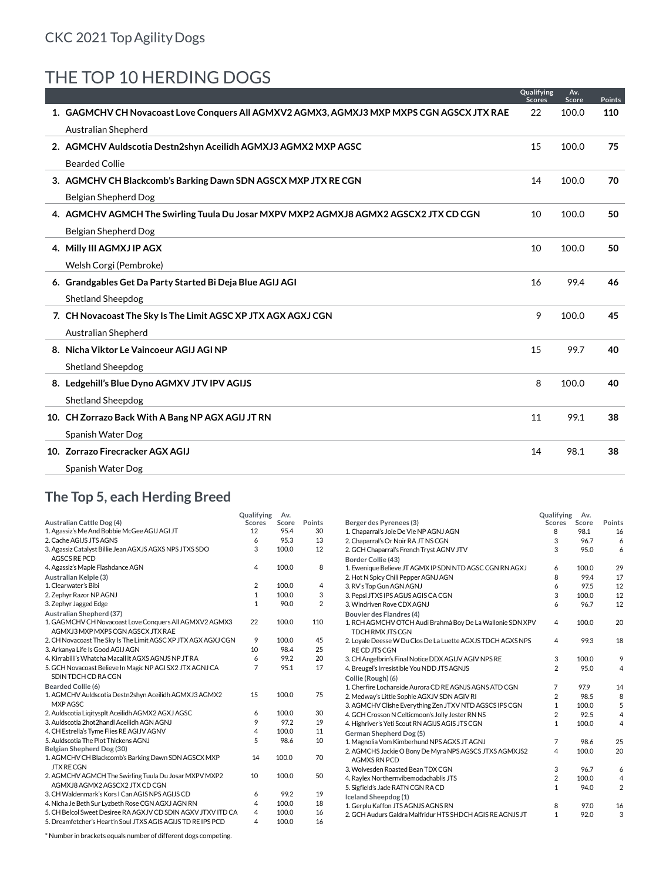# THE TOP 10 HERDING DOGS

|                                                                                           | Qualifying<br><b>Scores</b> | Av.<br>Score | <b>Points</b> |
|-------------------------------------------------------------------------------------------|-----------------------------|--------------|---------------|
| 1. GAGMCHV CH Novacoast Love Conquers All AGMXV2 AGMX3, AGMXJ3 MXP MXPS CGN AGSCX JTX RAE | 22                          | 100.0        | 110           |
| <b>Australian Shepherd</b>                                                                |                             |              |               |
| 2. AGMCHV Auldscotia Destn2shyn Aceilidh AGMXJ3 AGMX2 MXP AGSC                            | 15                          | 100.0        | 75            |
| <b>Bearded Collie</b>                                                                     |                             |              |               |
| 3. AGMCHV CH Blackcomb's Barking Dawn SDN AGSCX MXP JTX RECGN                             | 14                          | 100.0        | 70            |
| Belgian Shepherd Dog                                                                      |                             |              |               |
| 4. AGMCHV AGMCH The Swirling Tuula Du Josar MXPV MXP2 AGMXJ8 AGMX2 AGSCX2 JTX CD CGN      | 10                          | 100.0        | 50            |
| Belgian Shepherd Dog                                                                      |                             |              |               |
| 4. Milly III AGMXJ IP AGX                                                                 | 10                          | 100.0        | 50            |
| Welsh Corgi (Pembroke)                                                                    |                             |              |               |
| 6. Grandgables Get Da Party Started Bi Deja Blue AGIJ AGI                                 | 16                          | 99.4         | 46            |
| <b>Shetland Sheepdog</b>                                                                  |                             |              |               |
| 7. CH Novacoast The Sky Is The Limit AGSC XP JTX AGX AGXJ CGN                             | 9                           | 100.0        | 45            |
| Australian Shepherd                                                                       |                             |              |               |
| 8. Nicha Viktor Le Vaincoeur AGIJ AGI NP                                                  | 15                          | 99.7         | 40            |
| <b>Shetland Sheepdog</b>                                                                  |                             |              |               |
| 8. Ledgehill's Blue Dyno AGMXV JTV IPV AGIJS                                              | 8                           | 100.0        | 40            |
| <b>Shetland Sheepdog</b>                                                                  |                             |              |               |
| 10. CH Zorrazo Back With A Bang NP AGX AGIJ JT RN                                         | 11                          | 99.1         | 38            |
| Spanish Water Dog                                                                         |                             |              |               |
| 10. Zorrazo Firecracker AGX AGU                                                           | 14                          | 98.1         | 38            |
| Spanish Water Dog                                                                         |                             |              |               |

#### **The Top 5, each Herding Breed**

|                                                                         | Qualifying     | Av.   |                |                                                             | Qualifying                     | Av.   |                     |
|-------------------------------------------------------------------------|----------------|-------|----------------|-------------------------------------------------------------|--------------------------------|-------|---------------------|
| Australian Cattle Dog (4)                                               | <b>Scores</b>  | Score | Points         | Berger des Pyrenees (3)                                     | <b>Scores</b>                  | Score | Points              |
| 1. Agassiz's Me And Bobbie McGee AGIJ AGI JT                            | 12             | 95.4  | 30             | 1. Chaparral's Joie De Vie NP AGNJ AGN                      | 8                              | 98.1  | 16                  |
| 2. Cache AGIJS JTS AGNS                                                 | 6              | 95.3  | 13             | 2. Chaparral's Or Noir RA JT NS CGN                         | 3                              | 96.7  | 6                   |
| 3. Agassiz Catalyst Billie Jean AGXJS AGXS NPS JTXS SDO                 | 3              | 100.0 | 12             | 2. GCH Chaparral's French Tryst AGNV JTV                    | 3                              | 95.0  | 6                   |
| <b>AGSCS RE PCD</b>                                                     |                |       |                | Border Collie (43)                                          |                                |       |                     |
| 4. Agassiz's Maple Flashdance AGN                                       | $\overline{4}$ | 100.0 | 8              | 1. Ewenique Believe JT AGMX IP SDN NTD AGSC CGN RN AGXJ     | 6                              | 100.0 | 29                  |
| Australian Kelpie (3)                                                   |                |       |                | 2. Hot N Spicy Chili Pepper AGNJ AGN                        | 8                              | 99.4  | 17                  |
| 1. Clearwater's Bibi                                                    | 2              | 100.0 | 4              | 3. RV's Top Gun AGN AGNJ                                    | 6                              | 97.5  | 12                  |
| 2. Zephyr Razor NP AGNJ                                                 | $\mathbf{1}$   | 100.0 | 3              | 3. Pepsi JTXS IPS AGIJS AGIS CA CGN                         | 3                              | 100.0 | 12                  |
| 3. Zephyr Jagged Edge                                                   | $\mathbf{1}$   | 90.0  | $\overline{2}$ | 3. Windriven Rove CDX AGNJ                                  | 6                              | 96.7  | 12                  |
| <b>Australian Shepherd (37)</b>                                         |                |       |                | Bouvier des Flandres (4)                                    |                                |       |                     |
| 1. GAGMCHV CH Novacoast Love Conquers All AGMXV2 AGMX3                  | 22             | 100.0 | 110            | 1. RCH AGMCHV OTCH Audi Brahmà Boy De La Wallonie SDN XPV   | 4                              | 100.0 | 20                  |
| AGMXJ3 MXP MXPS CGN AGSCX JTX RAE                                       |                |       |                | TDCH RMX JTS CGN                                            |                                |       |                     |
| 2. CH Novacoast The Sky Is The Limit AGSC XP JTX AGX AGXJ CGN           | 9              | 100.0 | 45             | 2. Loyale Deesse W Du Clos De La Luette AGXJS TDCH AGXS NPS | 4                              | 99.3  | 18                  |
| 3. Arkanya Life Is Good AGIJ AGN                                        | 10             | 98.4  | 25             | <b>RECDJTSCGN</b>                                           |                                |       |                     |
| 4. Kirrabilli's Whatcha Macall it AGXS AGNJS NP JT RA                   | 6              | 99.2  | 20             | 3. CH Angelbrin's Final Notice DDX AGIJV AGIV NPS RE        | 3                              | 100.0 | 9                   |
| 5. GCH Novacoast Believe In Magic NP AGI SX2 JTX AGNJ CA                | $\overline{7}$ | 95.1  | 17             | 4. Breugel's Irresistible You NDD JTS AGNJS                 | $\overline{2}$                 | 95.0  | $\overline{4}$      |
| SDIN TDCH CD RACGN                                                      |                |       |                | Collie (Rough) (6)                                          |                                |       |                     |
| <b>Bearded Collie (6)</b>                                               |                |       |                | 1. Cherfire Lochanside Aurora CD RE AGNJS AGNS ATD CGN      | $\overline{7}$                 | 97.9  | 14                  |
| 1. AGMCHV Auldscotia Destn2shyn Aceilidh AGMXJ3 AGMX2                   | 15             | 100.0 | 75             | 2. Medway's Little Sophie AGXJV SDN AGIV RI                 | $\overline{2}$                 | 98.5  | 8                   |
| <b>MXP AGSC</b>                                                         |                |       |                | 3. AGMCHV Clishe Everything Zen JTXV NTD AGSCS IPS CGN      | $\mathbf{1}$                   | 100.0 | 5                   |
| 2. Auldscotia Ligitysplt Aceilidh AGMX2 AGXJ AGSC                       | 6              | 100.0 | 30             | 4. GCH Crosson N Celticmoon's Jolly Jester RN NS            | $\overline{2}$                 | 92.5  | $\overline{4}$      |
| 3. Auldscotia 2hot2handl Aceilidh AGN AGNJ                              | 9              | 97.2  | 19             | 4. Highriver's Yeti Scout RN AGIJS AGIS JTS CGN             | $\overline{1}$                 | 100.0 | 4                   |
| 4. CH Estrella's Tyme Flies RE AGIJV AGNV                               | 4              | 100.0 | 11             | German Shepherd Dog (5)                                     |                                |       |                     |
| 5. Auldscotia The Plot Thickens AGNJ                                    | 5              | 98.6  | 10             | 1. Magnolia Vom Kimberhund NPS AGXS JT AGNJ                 | 7                              | 98.6  | 25                  |
| Belgian Shepherd Dog (30)                                               |                |       |                | 2. AGMCHS Jackie O Bony De Myra NPS AGSCS JTXS AGMXJS2      | 4                              | 100.0 | 20                  |
| 1. AGMCHV CH Blackcomb's Barking Dawn SDN AGSCX MXP<br><b>JTX RECGN</b> | 14             | 100.0 | 70             | <b>AGMXS RN PCD</b><br>3. Wolvesden Roasted Bean TDX CGN    | 3                              | 96.7  | 6                   |
| 2. AGMCHV AGMCH The Swirling Tuula Du Josar MXPV MXP2                   | 10             | 100.0 | 50             |                                                             |                                | 100.0 |                     |
| AGMXJ8 AGMX2 AGSCX2 JTX CD CGN                                          |                |       |                | 4. Raylex Northernvibemodachablis JTS                       | $\overline{2}$<br>$\mathbf{1}$ | 94.0  | 4<br>$\overline{2}$ |
| 3. CH Waldenmark's Kors I Can AGIS NPS AGIJS CD                         | 6              | 99.2  | 19             | 5. Sigfield's Jade RATN CGN RA CD                           |                                |       |                     |
| 4. Nicha Je Beth Sur Lyzbeth Rose CGN AGXJ AGN RN                       | $\overline{4}$ | 100.0 | 18             | Iceland Sheepdog (1)                                        |                                |       |                     |
| 5. CH Belcol Sweet Desiree RA AGXJV CD SDIN AGXV JTXV ITD CA            | $\overline{4}$ | 100.0 | 16             | 1. Gerplu Kaffon JTS AGNJS AGNS RN                          | 8                              | 97.0  | 16                  |
| 5. Dreamfetcher's Heart'n Soul JTXS AGIS AGIJS TD RE IPS PCD            | $\overline{4}$ | 100.0 | 16             | 2. GCH Audurs Galdra Malfridur HTS SHDCH AGIS RE AGNJS JT   | $\mathbf{1}$                   | 92.0  | 3                   |
|                                                                         |                |       |                |                                                             |                                |       |                     |

\* Number in brackets equals number of different dogs competing.